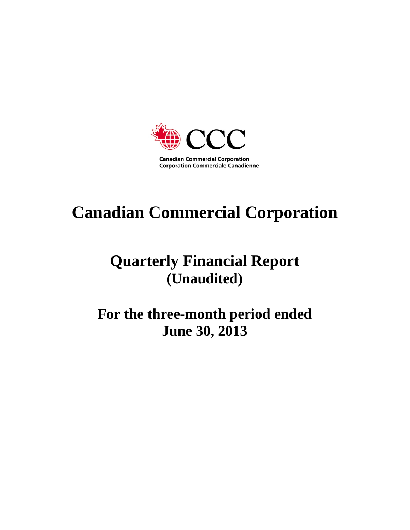

# **Canadian Commercial Corporation**

# **Quarterly Financial Report (Unaudited)**

**For the three-month period ended June 30, 2013**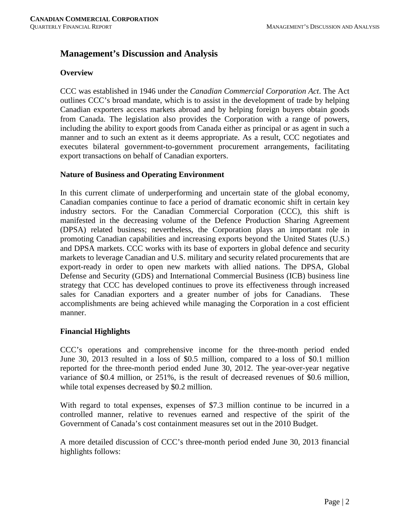# **Management's Discussion and Analysis**

#### **Overview**

CCC was established in 1946 under the *Canadian Commercial Corporation Act*. The Act outlines CCC's broad mandate, which is to assist in the development of trade by helping Canadian exporters access markets abroad and by helping foreign buyers obtain goods from Canada. The legislation also provides the Corporation with a range of powers, including the ability to export goods from Canada either as principal or as agent in such a manner and to such an extent as it deems appropriate. As a result, CCC negotiates and executes bilateral government-to-government procurement arrangements, facilitating export transactions on behalf of Canadian exporters.

#### **Nature of Business and Operating Environment**

In this current climate of underperforming and uncertain state of the global economy, Canadian companies continue to face a period of dramatic economic shift in certain key industry sectors. For the Canadian Commercial Corporation (CCC), this shift is manifested in the decreasing volume of the Defence Production Sharing Agreement (DPSA) related business; nevertheless, the Corporation plays an important role in promoting Canadian capabilities and increasing exports beyond the United States (U.S.) and DPSA markets. CCC works with its base of exporters in global defence and security markets to leverage Canadian and U.S. military and security related procurements that are export-ready in order to open new markets with allied nations. The DPSA, Global Defense and Security (GDS) and International Commercial Business (ICB) business line strategy that CCC has developed continues to prove its effectiveness through increased sales for Canadian exporters and a greater number of jobs for Canadians. These accomplishments are being achieved while managing the Corporation in a cost efficient manner.

#### **Financial Highlights**

CCC's operations and comprehensive income for the three-month period ended June 30, 2013 resulted in a loss of \$0.5 million, compared to a loss of \$0.1 million reported for the three-month period ended June 30, 2012. The year-over-year negative variance of \$0.4 million, or 251%, is the result of decreased revenues of \$0.6 million, while total expenses decreased by \$0.2 million.

With regard to total expenses, expenses of \$7.3 million continue to be incurred in a controlled manner, relative to revenues earned and respective of the spirit of the Government of Canada's cost containment measures set out in the 2010 Budget.

A more detailed discussion of CCC's three-month period ended June 30, 2013 financial highlights follows: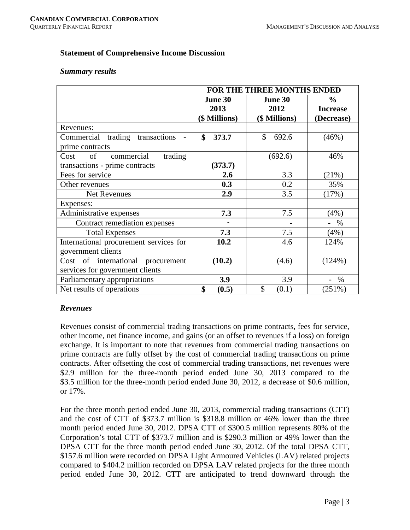#### **Statement of Comprehensive Income Discussion**

#### *Summary results*

|                                        | FOR THE THREE MONTHS ENDED |               |                 |  |  |  |  |  |  |
|----------------------------------------|----------------------------|---------------|-----------------|--|--|--|--|--|--|
|                                        | June 30                    | June 30       | $\frac{6}{6}$   |  |  |  |  |  |  |
|                                        | 2013                       | 2012          | <b>Increase</b> |  |  |  |  |  |  |
|                                        | (\$ Millions)              | (\$ Millions) | (Decrease)      |  |  |  |  |  |  |
| Revenues:                              |                            |               |                 |  |  |  |  |  |  |
| Commercial trading transactions        | \$<br>373.7                | \$<br>692.6   | (46%)           |  |  |  |  |  |  |
| prime contracts                        |                            |               |                 |  |  |  |  |  |  |
| commercial<br>trading<br>of<br>Cost    |                            | (692.6)       | 46%             |  |  |  |  |  |  |
| transactions - prime contracts         | (373.7)                    |               |                 |  |  |  |  |  |  |
| Fees for service                       | 2.6                        | 3.3           | (21%)           |  |  |  |  |  |  |
| Other revenues                         | 0.3                        | 0.2           | 35%             |  |  |  |  |  |  |
| Net Revenues                           | 2.9                        | 3.5           | (17%)           |  |  |  |  |  |  |
| Expenses:                              |                            |               |                 |  |  |  |  |  |  |
| Administrative expenses                | 7.3                        | 7.5           | (4%)            |  |  |  |  |  |  |
| Contract remediation expenses          |                            |               | $\%$            |  |  |  |  |  |  |
| <b>Total Expenses</b>                  | 7.3                        | 7.5           | (4%)            |  |  |  |  |  |  |
| International procurement services for | 10.2                       | 4.6           | 124%            |  |  |  |  |  |  |
| government clients                     |                            |               |                 |  |  |  |  |  |  |
| Cost of international procurement      | (10.2)                     | (4.6)         | (124%)          |  |  |  |  |  |  |
| services for government clients        |                            |               |                 |  |  |  |  |  |  |
| Parliamentary appropriations           | 3.9                        | 3.9           | %               |  |  |  |  |  |  |
| Net results of operations              | \$<br>(0.5)                | \$<br>(0.1)   | (251%)          |  |  |  |  |  |  |

#### *Revenues*

Revenues consist of commercial trading transactions on prime contracts, fees for service, other income, net finance income, and gains (or an offset to revenues if a loss) on foreign exchange. It is important to note that revenues from commercial trading transactions on prime contracts are fully offset by the cost of commercial trading transactions on prime contracts. After offsetting the cost of commercial trading transactions, net revenues were \$2.9 million for the three-month period ended June 30, 2013 compared to the \$3.5 million for the three-month period ended June 30, 2012, a decrease of \$0.6 million, or 17%.

For the three month period ended June 30, 2013, commercial trading transactions (CTT) and the cost of CTT of \$373.7 million is \$318.8 million or 46% lower than the three month period ended June 30, 2012. DPSA CTT of \$300.5 million represents 80% of the Corporation's total CTT of \$373.7 million and is \$290.3 million or 49% lower than the DPSA CTT for the three month period ended June 30, 2012. Of the total DPSA CTT, \$157.6 million were recorded on DPSA Light Armoured Vehicles (LAV) related projects compared to \$404.2 million recorded on DPSA LAV related projects for the three month period ended June 30, 2012. CTT are anticipated to trend downward through the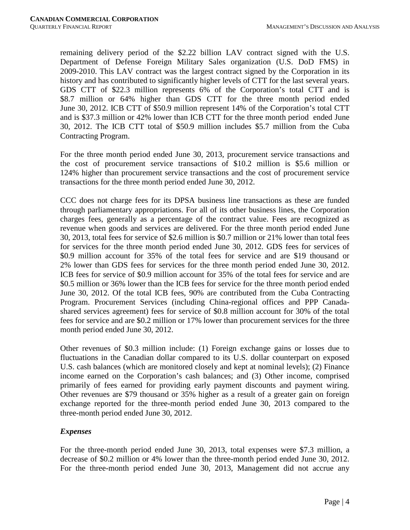remaining delivery period of the \$2.22 billion LAV contract signed with the U.S. Department of Defense Foreign Military Sales organization (U.S. DoD FMS) in 2009-2010. This LAV contract was the largest contract signed by the Corporation in its history and has contributed to significantly higher levels of CTT for the last several years. GDS CTT of \$22.3 million represents 6% of the Corporation's total CTT and is \$8.7 million or 64% higher than GDS CTT for the three month period ended June 30, 2012. ICB CTT of \$50.9 million represent 14% of the Corporation's total CTT and is \$37.3 million or 42% lower than ICB CTT for the three month period ended June 30, 2012. The ICB CTT total of \$50.9 million includes \$5.7 million from the Cuba Contracting Program.

For the three month period ended June 30, 2013, procurement service transactions and the cost of procurement service transactions of \$10.2 million is \$5.6 million or 124% higher than procurement service transactions and the cost of procurement service transactions for the three month period ended June 30, 2012.

CCC does not charge fees for its DPSA business line transactions as these are funded through parliamentary appropriations. For all of its other business lines, the Corporation charges fees, generally as a percentage of the contract value. Fees are recognized as revenue when goods and services are delivered. For the three month period ended June 30, 2013, total fees for service of \$2.6 million is \$0.7 million or 21% lower than total fees for services for the three month period ended June 30, 2012. GDS fees for services of \$0.9 million account for 35% of the total fees for service and are \$19 thousand or 2% lower than GDS fees for services for the three month period ended June 30, 2012. ICB fees for service of \$0.9 million account for 35% of the total fees for service and are \$0.5 million or 36% lower than the ICB fees for service for the three month period ended June 30, 2012. Of the total ICB fees, 90% are contributed from the Cuba Contracting Program. Procurement Services (including China-regional offices and PPP Canadashared services agreement) fees for service of \$0.8 million account for 30% of the total fees for service and are \$0.2 million or 17% lower than procurement services for the three month period ended June 30, 2012.

Other revenues of \$0.3 million include: (1) Foreign exchange gains or losses due to fluctuations in the Canadian dollar compared to its U.S. dollar counterpart on exposed U.S. cash balances (which are monitored closely and kept at nominal levels); (2) Finance income earned on the Corporation's cash balances; and (3) Other income, comprised primarily of fees earned for providing early payment discounts and payment wiring. Other revenues are \$79 thousand or 35% higher as a result of a greater gain on foreign exchange reported for the three-month period ended June 30, 2013 compared to the three-month period ended June 30, 2012.

# *Expenses*

For the three-month period ended June 30, 2013, total expenses were \$7.3 million, a decrease of \$0.2 million or 4% lower than the three-month period ended June 30, 2012. For the three-month period ended June 30, 2013, Management did not accrue any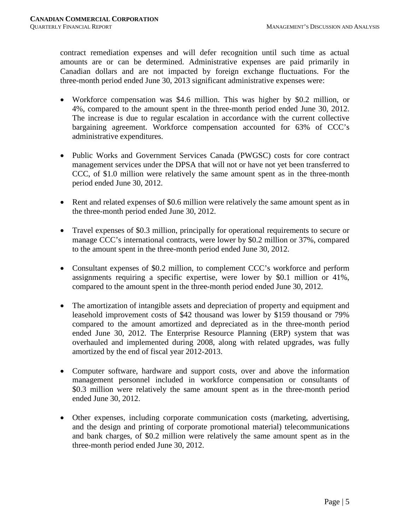contract remediation expenses and will defer recognition until such time as actual amounts are or can be determined. Administrative expenses are paid primarily in Canadian dollars and are not impacted by foreign exchange fluctuations. For the three-month period ended June 30, 2013 significant administrative expenses were:

- Workforce compensation was \$4.6 million. This was higher by \$0.2 million, or 4%, compared to the amount spent in the three-month period ended June 30, 2012. The increase is due to regular escalation in accordance with the current collective bargaining agreement. Workforce compensation accounted for 63% of CCC's administrative expenditures.
- Public Works and Government Services Canada (PWGSC) costs for core contract management services under the DPSA that will not or have not yet been transferred to CCC, of \$1.0 million were relatively the same amount spent as in the three-month period ended June 30, 2012.
- Rent and related expenses of \$0.6 million were relatively the same amount spent as in the three-month period ended June 30, 2012.
- Travel expenses of \$0.3 million, principally for operational requirements to secure or manage CCC's international contracts, were lower by \$0.2 million or 37%, compared to the amount spent in the three-month period ended June 30, 2012.
- Consultant expenses of \$0.2 million, to complement CCC's workforce and perform assignments requiring a specific expertise, were lower by \$0.1 million or 41%, compared to the amount spent in the three-month period ended June 30, 2012.
- The amortization of intangible assets and depreciation of property and equipment and leasehold improvement costs of \$42 thousand was lower by \$159 thousand or 79% compared to the amount amortized and depreciated as in the three-month period ended June 30, 2012. The Enterprise Resource Planning (ERP) system that was overhauled and implemented during 2008, along with related upgrades, was fully amortized by the end of fiscal year 2012-2013.
- Computer software, hardware and support costs, over and above the information management personnel included in workforce compensation or consultants of \$0.3 million were relatively the same amount spent as in the three-month period ended June 30, 2012.
- Other expenses, including corporate communication costs (marketing, advertising, and the design and printing of corporate promotional material) telecommunications and bank charges, of \$0.2 million were relatively the same amount spent as in the three-month period ended June 30, 2012.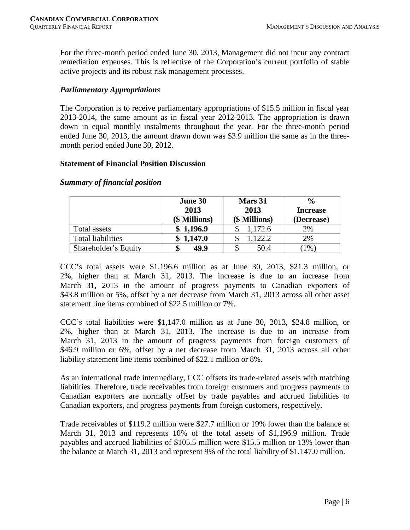For the three-month period ended June 30, 2013, Management did not incur any contract remediation expenses. This is reflective of the Corporation's current portfolio of stable active projects and its robust risk management processes.

# *Parliamentary Appropriations*

The Corporation is to receive parliamentary appropriations of \$15.5 million in fiscal year 2013-2014, the same amount as in fiscal year 2012-2013. The appropriation is drawn down in equal monthly instalments throughout the year. For the three-month period ended June 30, 2013, the amount drawn down was \$3.9 million the same as in the threemonth period ended June 30, 2012.

# **Statement of Financial Position Discussion**

|                          | June 30<br>2013<br>(\$ Millions) | Mars 31<br>2013<br>(\$ Millions) | $\frac{0}{0}$<br><b>Increase</b><br>(Decrease) |  |  |  |
|--------------------------|----------------------------------|----------------------------------|------------------------------------------------|--|--|--|
| Total assets             | \$1,196.9                        | 1,172.6                          | 2%                                             |  |  |  |
| <b>Total liabilities</b> | \$1,147.0                        | 1,122.2                          | 2%                                             |  |  |  |
| Shareholder's Equity     | 49.9                             | 50.4                             | $1\%$                                          |  |  |  |

# *Summary of financial position*

CCC's total assets were \$1,196.6 million as at June 30, 2013, \$21.3 million, or 2%, higher than at March 31, 2013. The increase is due to an increase from March 31, 2013 in the amount of progress payments to Canadian exporters of \$43.8 million or 5%, offset by a net decrease from March 31, 2013 across all other asset statement line items combined of \$22.5 million or 7%.

CCC's total liabilities were \$1,147.0 million as at June 30, 2013, \$24.8 million, or 2%, higher than at March 31, 2013. The increase is due to an increase from March 31, 2013 in the amount of progress payments from foreign customers of \$46.9 million or 6%, offset by a net decrease from March 31, 2013 across all other liability statement line items combined of \$22.1 million or 8%.

As an international trade intermediary, CCC offsets its trade-related assets with matching liabilities. Therefore, trade receivables from foreign customers and progress payments to Canadian exporters are normally offset by trade payables and accrued liabilities to Canadian exporters, and progress payments from foreign customers, respectively.

Trade receivables of \$119.2 million were \$27.7 million or 19% lower than the balance at March 31, 2013 and represents 10% of the total assets of \$1,196.9 million. Trade payables and accrued liabilities of \$105.5 million were \$15.5 million or 13% lower than the balance at March 31, 2013 and represent 9% of the total liability of \$1,147.0 million.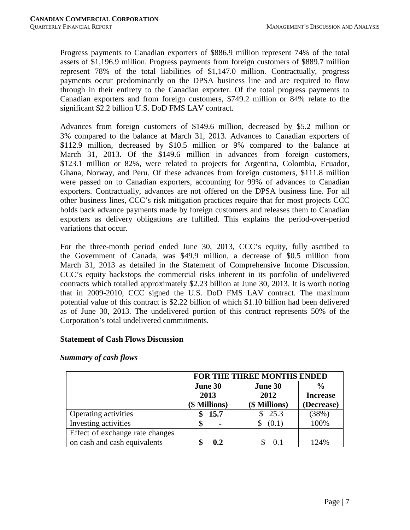Progress payments to Canadian exporters of \$886.9 million represent 74% of the total assets of \$1,196.9 million. Progress payments from foreign customers of \$889.7 million represent 78% of the total liabilities of \$1,147.0 million. Contractually, progress payments occur predominantly on the DPSA business line and are required to flow through in their entirety to the Canadian exporter. Of the total progress payments to Canadian exporters and from foreign customers, \$749.2 million or 84% relate to the significant \$2.2 billion U.S. DoD FMS LAV contract.

Advances from foreign customers of \$149.6 million, decreased by \$5.2 million or 3% compared to the balance at March 31, 2013. Advances to Canadian exporters of \$112.9 million, decreased by \$10.5 million or 9% compared to the balance at March 31, 2013. Of the \$149.6 million in advances from foreign customers, \$123.1 million or 82%, were related to projects for Argentina, Colombia, Ecuador, Ghana, Norway, and Peru. Of these advances from foreign customers, \$111.8 million were passed on to Canadian exporters, accounting for 99% of advances to Canadian exporters. Contractually, advances are not offered on the DPSA business line. For all other business lines, CCC's risk mitigation practices require that for most projects CCC holds back advance payments made by foreign customers and releases them to Canadian exporters as delivery obligations are fulfilled. This explains the period-over-period variations that occur.

For the three-month period ended June 30, 2013, CCC's equity, fully ascribed to the Government of Canada, was \$49.9 million, a decrease of \$0.5 million from March 31, 2013 as detailed in the Statement of Comprehensive Income Discussion. CCC's equity backstops the commercial risks inherent in its portfolio of undelivered contracts which totalled approximately \$2.23 billion at June 30, 2013. It is worth noting that in 2009-2010, CCC signed the U.S. DoD FMS LAV contract. The maximum potential value of this contract is \$2.22 billion of which \$1.10 billion had been delivered as of June 30, 2013. The undelivered portion of this contract represents 50% of the Corporation's total undelivered commitments.

#### **Statement of Cash Flows Discussion**

|                                                                 | FOR THE THREE MONTHS ENDED       |                                  |                                                |  |  |  |  |  |  |  |
|-----------------------------------------------------------------|----------------------------------|----------------------------------|------------------------------------------------|--|--|--|--|--|--|--|
|                                                                 | June 30<br>2013<br>(\$ Millions) | June 30<br>2012<br>(\$ Millions) | $\frac{6}{9}$<br><b>Increase</b><br>(Decrease) |  |  |  |  |  |  |  |
| Operating activities                                            | 15.7                             | 25.3                             | (38%)                                          |  |  |  |  |  |  |  |
| Investing activities                                            |                                  | (0.1)                            | 100%                                           |  |  |  |  |  |  |  |
| Effect of exchange rate changes<br>on cash and cash equivalents | 0.2                              |                                  | 124%                                           |  |  |  |  |  |  |  |

#### *Summary of cash flows*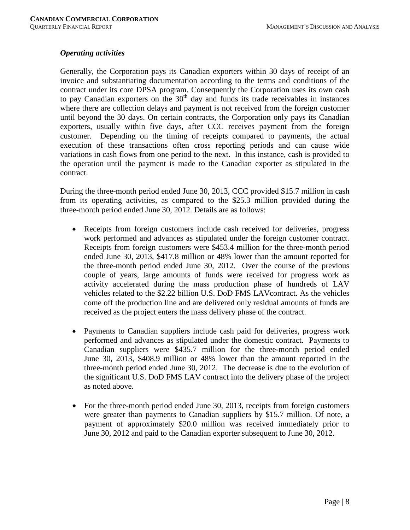#### *Operating activities*

Generally, the Corporation pays its Canadian exporters within 30 days of receipt of an invoice and substantiating documentation according to the terms and conditions of the contract under its core DPSA program. Consequently the Corporation uses its own cash to pay Canadian exporters on the  $30<sup>th</sup>$  day and funds its trade receivables in instances where there are collection delays and payment is not received from the foreign customer until beyond the 30 days. On certain contracts, the Corporation only pays its Canadian exporters, usually within five days, after CCC receives payment from the foreign customer. Depending on the timing of receipts compared to payments, the actual execution of these transactions often cross reporting periods and can cause wide variations in cash flows from one period to the next. In this instance, cash is provided to the operation until the payment is made to the Canadian exporter as stipulated in the contract.

During the three-month period ended June 30, 2013, CCC provided \$15.7 million in cash from its operating activities, as compared to the \$25.3 million provided during the three-month period ended June 30, 2012. Details are as follows:

- Receipts from foreign customers include cash received for deliveries, progress work performed and advances as stipulated under the foreign customer contract. Receipts from foreign customers were \$453.4 million for the three-month period ended June 30, 2013, \$417.8 million or 48% lower than the amount reported for the three-month period ended June 30, 2012. Over the course of the previous couple of years, large amounts of funds were received for progress work as activity accelerated during the mass production phase of hundreds of LAV vehicles related to the \$2.22 billion U.S. DoD FMS LAVcontract. As the vehicles come off the production line and are delivered only residual amounts of funds are received as the project enters the mass delivery phase of the contract.
- Payments to Canadian suppliers include cash paid for deliveries, progress work performed and advances as stipulated under the domestic contract. Payments to Canadian suppliers were \$435.7 million for the three-month period ended June 30, 2013, \$408.9 million or 48% lower than the amount reported in the three-month period ended June 30, 2012. The decrease is due to the evolution of the significant U.S. DoD FMS LAV contract into the delivery phase of the project as noted above.
- For the three-month period ended June 30, 2013, receipts from foreign customers were greater than payments to Canadian suppliers by \$15.7 million. Of note, a payment of approximately \$20.0 million was received immediately prior to June 30, 2012 and paid to the Canadian exporter subsequent to June 30, 2012.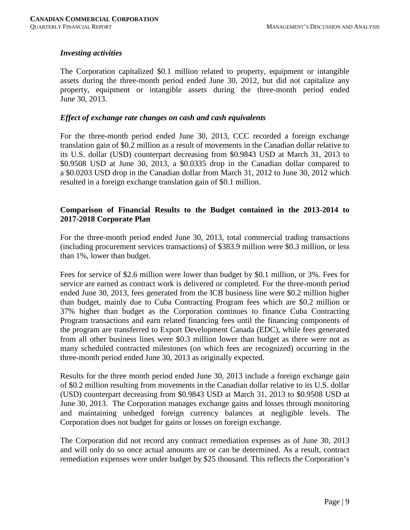## *Investing activities*

The Corporation capitalized \$0.1 million related to property, equipment or intangible assets during the three-month period ended June 30, 2012, but did not capitalize any property, equipment or intangible assets during the three-month period ended June 30, 2013.

#### *Effect of exchange rate changes on cash and cash equivalents*

For the three-month period ended June 30, 2013, CCC recorded a foreign exchange translation gain of \$0.2 million as a result of movements in the Canadian dollar relative to its U.S. dollar (USD) counterpart decreasing from \$0.9843 USD at March 31, 2013 to \$0.9508 USD at June 30, 2013, a \$0.0335 drop in the Canadian dollar compared to a \$0.0203 USD drop in the Canadian dollar from March 31, 2012 to June 30, 2012 which resulted in a foreign exchange translation gain of \$0.1 million.

## **Comparison of Financial Results to the Budget contained in the 2013-2014 to 2017-2018 Corporate Plan**

For the three-month period ended June 30, 2013, total commercial trading transactions (including procurement services transactions) of \$383.9 million were \$0.3 million, or less than 1%, lower than budget.

Fees for service of \$2.6 million were lower than budget by \$0.1 million, or 3%. Fees for service are earned as contract work is delivered or completed. For the three-month period ended June 30, 2013, fees generated from the ICB business line were \$0.2 million higher than budget, mainly due to Cuba Contracting Program fees which are \$0.2 million or 37% higher than budget as the Corporation continues to finance Cuba Contracting Program transactions and earn related financing fees until the financing components of the program are transferred to Export Development Canada (EDC), while fees generated from all other business lines were \$0.3 million lower than budget as there were not as many scheduled contracted milestones (on which fees are recognized) occurring in the three-month period ended June 30, 2013 as originally expected.

Results for the three month period ended June 30, 2013 include a foreign exchange gain of \$0.2 million resulting from movements in the Canadian dollar relative to its U.S. dollar (USD) counterpart decreasing from \$0.9843 USD at March 31, 2013 to \$0.9508 USD at June 30, 2013. The Corporation manages exchange gains and losses through monitoring and maintaining unhedged foreign currency balances at negligible levels. The Corporation does not budget for gains or losses on foreign exchange.

The Corporation did not record any contract remediation expenses as of June 30, 2013 and will only do so once actual amounts are or can be determined. As a result, contract remediation expenses were under budget by \$25 thousand. This reflects the Corporation's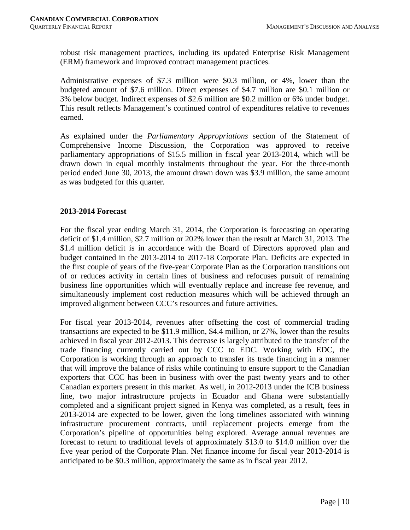robust risk management practices, including its updated Enterprise Risk Management (ERM) framework and improved contract management practices.

Administrative expenses of \$7.3 million were \$0.3 million, or 4%, lower than the budgeted amount of \$7.6 million. Direct expenses of \$4.7 million are \$0.1 million or 3% below budget. Indirect expenses of \$2.6 million are \$0.2 million or 6% under budget. This result reflects Management's continued control of expenditures relative to revenues earned.

As explained under the *Parliamentary Appropriations* section of the Statement of Comprehensive Income Discussion, the Corporation was approved to receive parliamentary appropriations of \$15.5 million in fiscal year 2013-2014, which will be drawn down in equal monthly instalments throughout the year. For the three-month period ended June 30, 2013, the amount drawn down was \$3.9 million, the same amount as was budgeted for this quarter.

#### **2013-2014 Forecast**

For the fiscal year ending March 31, 2014, the Corporation is forecasting an operating deficit of \$1.4 million, \$2.7 million or 202% lower than the result at March 31, 2013. The \$1.4 million deficit is in accordance with the Board of Directors approved plan and budget contained in the 2013-2014 to 2017-18 Corporate Plan. Deficits are expected in the first couple of years of the five-year Corporate Plan as the Corporation transitions out of or reduces activity in certain lines of business and refocuses pursuit of remaining business line opportunities which will eventually replace and increase fee revenue, and simultaneously implement cost reduction measures which will be achieved through an improved alignment between CCC's resources and future activities.

For fiscal year 2013-2014, revenues after offsetting the cost of commercial trading transactions are expected to be \$11.9 million, \$4.4 million, or 27%, lower than the results achieved in fiscal year 2012-2013. This decrease is largely attributed to the transfer of the trade financing currently carried out by CCC to EDC. Working with EDC, the Corporation is working through an approach to transfer its trade financing in a manner that will improve the balance of risks while continuing to ensure support to the Canadian exporters that CCC has been in business with over the past twenty years and to other Canadian exporters present in this market. As well, in 2012-2013 under the ICB business line, two major infrastructure projects in Ecuador and Ghana were substantially completed and a significant project signed in Kenya was completed, as a result, fees in 2013-2014 are expected to be lower, given the long timelines associated with winning infrastructure procurement contracts, until replacement projects emerge from the Corporation's pipeline of opportunities being explored. Average annual revenues are forecast to return to traditional levels of approximately \$13.0 to \$14.0 million over the five year period of the Corporate Plan. Net finance income for fiscal year 2013-2014 is anticipated to be \$0.3 million, approximately the same as in fiscal year 2012.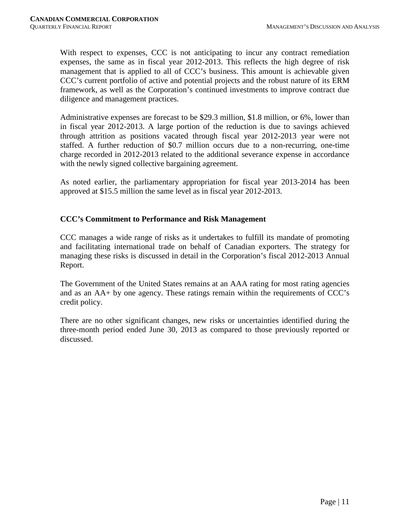With respect to expenses, CCC is not anticipating to incur any contract remediation expenses, the same as in fiscal year 2012-2013. This reflects the high degree of risk management that is applied to all of CCC's business. This amount is achievable given CCC's current portfolio of active and potential projects and the robust nature of its ERM framework, as well as the Corporation's continued investments to improve contract due diligence and management practices.

Administrative expenses are forecast to be \$29.3 million, \$1.8 million, or 6%, lower than in fiscal year 2012-2013. A large portion of the reduction is due to savings achieved through attrition as positions vacated through fiscal year 2012-2013 year were not staffed. A further reduction of \$0.7 million occurs due to a non-recurring, one-time charge recorded in 2012-2013 related to the additional severance expense in accordance with the newly signed collective bargaining agreement.

As noted earlier, the parliamentary appropriation for fiscal year 2013-2014 has been approved at \$15.5 million the same level as in fiscal year 2012-2013.

# **CCC's Commitment to Performance and Risk Management**

CCC manages a wide range of risks as it undertakes to fulfill its mandate of promoting and facilitating international trade on behalf of Canadian exporters. The strategy for managing these risks is discussed in detail in the Corporation's fiscal 2012-2013 Annual Report.

The Government of the United States remains at an AAA rating for most rating agencies and as an AA+ by one agency. These ratings remain within the requirements of CCC's credit policy.

There are no other significant changes, new risks or uncertainties identified during the three-month period ended June 30, 2013 as compared to those previously reported or discussed.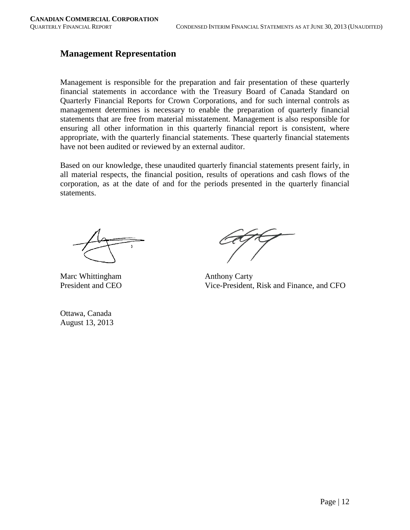# **Management Representation**

Management is responsible for the preparation and fair presentation of these quarterly financial statements in accordance with the Treasury Board of Canada Standard on Quarterly Financial Reports for Crown Corporations, and for such internal controls as management determines is necessary to enable the preparation of quarterly financial statements that are free from material misstatement. Management is also responsible for ensuring all other information in this quarterly financial report is consistent, where appropriate, with the quarterly financial statements. These quarterly financial statements have not been audited or reviewed by an external auditor.

Based on our knowledge, these unaudited quarterly financial statements present fairly, in all material respects, the financial position, results of operations and cash flows of the corporation, as at the date of and for the periods presented in the quarterly financial statements.

Marc Whittingham Anthony Carty<br>President and CEO Vice-President.

Ottawa, Canada August 13, 2013

Vice-President, Risk and Finance, and CFO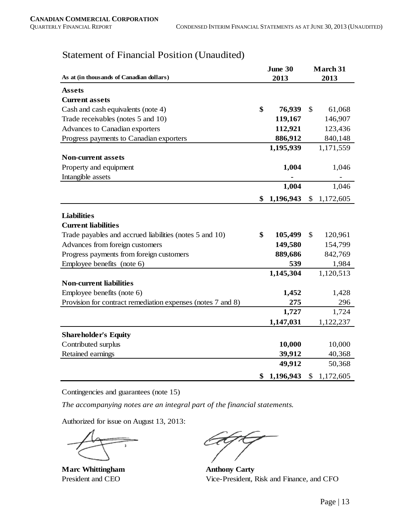|                                                             | June 30 |           |    |           |  |
|-------------------------------------------------------------|---------|-----------|----|-----------|--|
| As at (in thousands of Canadian dollars)                    |         | 2013      |    | 2013      |  |
| <b>Assets</b>                                               |         |           |    |           |  |
| <b>Current assets</b>                                       |         |           |    |           |  |
| Cash and cash equivalents (note 4)                          | \$      | 76,939    | \$ | 61,068    |  |
| Trade receivables (notes 5 and 10)                          |         | 119,167   |    | 146,907   |  |
| Advances to Canadian exporters                              |         | 112,921   |    | 123,436   |  |
| Progress payments to Canadian exporters                     |         | 886,912   |    | 840,148   |  |
|                                                             |         | 1,195,939 |    | 1,171,559 |  |
| <b>Non-current assets</b>                                   |         |           |    |           |  |
| Property and equipment                                      |         | 1,004     |    | 1,046     |  |
| Intangible assets                                           |         |           |    |           |  |
|                                                             |         | 1,004     |    | 1,046     |  |
|                                                             | \$      | 1,196,943 | \$ | 1,172,605 |  |
|                                                             |         |           |    |           |  |
| <b>Liabilities</b>                                          |         |           |    |           |  |
| <b>Current liabilities</b>                                  |         |           |    |           |  |
| Trade payables and accrued liabilities (notes 5 and 10)     | \$      | 105,499   | \$ | 120,961   |  |
| Advances from foreign customers                             |         | 149,580   |    | 154,799   |  |
| Progress payments from foreign customers                    |         | 889,686   |    | 842,769   |  |
| Employee benefits (note 6)                                  |         | 539       |    | 1,984     |  |
|                                                             |         | 1,145,304 |    | 1,120,513 |  |
| <b>Non-current liabilities</b>                              |         |           |    |           |  |
| Employee benefits (note 6)                                  |         | 1,452     |    | 1,428     |  |
| Provision for contract remediation expenses (notes 7 and 8) |         | 275       |    | 296       |  |
|                                                             |         | 1,727     |    | 1,724     |  |
|                                                             |         | 1,147,031 |    | 1,122,237 |  |
| <b>Shareholder's Equity</b>                                 |         |           |    |           |  |
| Contributed surplus                                         |         | 10,000    |    | 10,000    |  |
| Retained earnings                                           |         | 39,912    |    | 40,368    |  |
|                                                             |         | 49,912    |    | 50,368    |  |
|                                                             | \$      | 1,196,943 | \$ | 1,172,605 |  |

# Statement of Financial Position (Unaudited)

Contingencies and guarantees (note 15)

*The accompanying notes are an integral part of the financial statements.*

Authorized for issue on August 13, 2013:

**Marc Whittingham Anthony Carty** 

President and CEO Vice-President, Risk and Finance, and CFO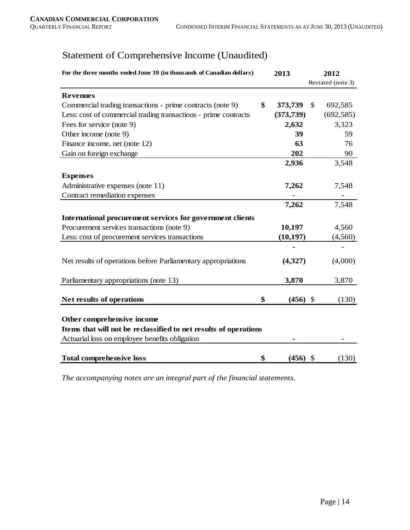# Statement of Comprehensive Income (Unaudited)

| For the three months ended June 30 (in thousands of Canadian dollars) |    | 2013       | 2012         |                   |  |
|-----------------------------------------------------------------------|----|------------|--------------|-------------------|--|
|                                                                       |    |            |              | Restated (note 3) |  |
| <b>Revenues</b>                                                       |    |            |              |                   |  |
| Commercial trading transactions - prime contracts (note 9)            | \$ | 373,739    | $\mathbb{S}$ | 692,585           |  |
| Less: cost of commercial trading transactions - prime contracts       |    | (373, 739) |              | (692, 585)        |  |
| Fees for service (note 9)                                             |    | 2,632      |              | 3,323             |  |
| Other income (note 9)                                                 |    | 39         |              | 59                |  |
| Finance income, net (note 12)                                         |    | 63         |              | 76                |  |
| Gain on foreign exchange                                              |    | 202        |              | 90                |  |
|                                                                       |    | 2,936      |              | 3,548             |  |
| <b>Expenses</b>                                                       |    |            |              |                   |  |
| Administrative expenses (note 11)                                     |    | 7,262      |              | 7,548             |  |
| Contract remediation expenses                                         |    |            |              |                   |  |
|                                                                       |    | 7,262      |              | 7,548             |  |
| International procurement services for government clients             |    |            |              |                   |  |
| Procurement services transactions (note 9)                            |    | 10,197     |              | 4,560             |  |
| Less: cost of procurement services transactions                       |    | (10, 197)  |              | (4,560)           |  |
|                                                                       |    |            |              |                   |  |
| Net results of operations before Parliamentary appropriations         |    | (4,327)    |              | (4,000)           |  |
| Parliamentary appropriations (note 13)                                |    | 3,870      |              | 3,870             |  |
| Net results of operations                                             | \$ | (456)      | - \$         | (130)             |  |
| Other comprehensive income                                            |    |            |              |                   |  |
| Items that will not be reclassified to net results of operations      |    |            |              |                   |  |
| Actuarial loss on employee benefits obligation                        |    |            |              |                   |  |
| <b>Total comprehensive loss</b>                                       | \$ | (456)      | \$           | (130)             |  |

*The accompanying notes are an integral part of the financial statements.*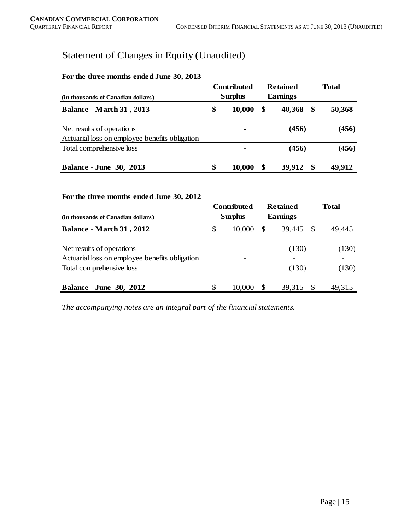# Statement of Changes in Equity (Unaudited)

#### **For the three months ended June 30, 2013**

| (in thousands of Canadian dollars)             |    | <b>Contributed</b><br><b>Surplus</b> | <b>Retained</b><br><b>Earnings</b> | <b>Total</b> |
|------------------------------------------------|----|--------------------------------------|------------------------------------|--------------|
| <b>Balance - March 31, 2013</b>                | \$ | 10,000                               | \$<br>40,368<br>\$                 | 50,368       |
| Net results of operations                      |    | ٠                                    | (456)                              | (456)        |
| Actuarial loss on employee benefits obligation |    | ٠                                    |                                    |              |
| Total comprehensive loss                       |    | ٠                                    | (456)                              | (456)        |
| <b>Balance - June 30, 2013</b>                 | \$ | 10,000                               | -SS<br>39,912                      | 49,912       |

#### **For the three months ended June 30, 2012**

| (in thousands of Canadian dollars)                                          |   | <b>Contributed</b><br><b>Surplus</b> |               | <b>Retained</b><br><b>Earnings</b> | <b>Total</b> |        |  |
|-----------------------------------------------------------------------------|---|--------------------------------------|---------------|------------------------------------|--------------|--------|--|
| <b>Balance - March 31, 2012</b>                                             | S | 10,000                               | <sup>\$</sup> | 39,445                             | - \$         | 49,445 |  |
| Net results of operations<br>Actuarial loss on employee benefits obligation |   | $\blacksquare$<br>٠                  |               | (130)                              |              | (130)  |  |
| Total comprehensive loss                                                    |   |                                      |               | (130)                              |              | (130)  |  |
| <b>Balance - June 30, 2012</b>                                              | S | 10,000                               | <b>S</b>      | 39,315                             | -S           | 49,315 |  |

*The accompanying notes are an integral part of the financial statements.*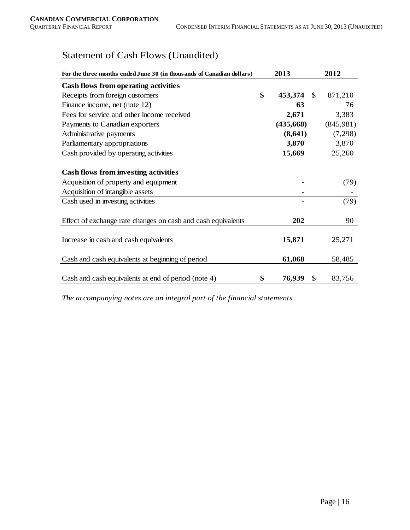# Statement of Cash Flows (Unaudited)

| For the three months ended June 30 (in thousands of Canadian dollars) | 2013          |               | 2012      |
|-----------------------------------------------------------------------|---------------|---------------|-----------|
| Cash flows from operating activities                                  |               |               |           |
| Receipts from foreign customers                                       | \$<br>453,374 | <sup>\$</sup> | 871,210   |
| Finance income, net (note 12)                                         | 63            |               | 76        |
| Fees for service and other income received                            | 2,671         |               | 3,383     |
| Payments to Canadian exporters                                        | (435,668)     |               | (845,981) |
| Administrative payments                                               | (8,641)       |               | (7,298)   |
| Parliamentary appropriations                                          | 3,870         |               | 3,870     |
| Cash provided by operating activities                                 | 15,669        |               | 25,260    |
|                                                                       |               |               |           |
| <b>Cash flows from investing activities</b>                           |               |               |           |
| Acquisition of property and equipment                                 |               |               | (79)      |
| Acquisition of intangible assets                                      |               |               |           |
| Cash used in investing activities                                     |               |               | (79)      |
|                                                                       |               |               |           |
| Effect of exchange rate changes on cash and cash equivalents          | 202           |               | 90        |
|                                                                       |               |               |           |
| Increase in cash and cash equivalents                                 | 15,871        |               | 25,271    |
|                                                                       |               |               |           |
| Cash and cash equivalents at beginning of period                      | 61,068        |               | 58,485    |
|                                                                       |               |               |           |
| Cash and cash equivalents at end of period (note 4)                   | \$<br>76,939  | \$            | 83,756    |

*The accompanying notes are an integral part of the financial statements.*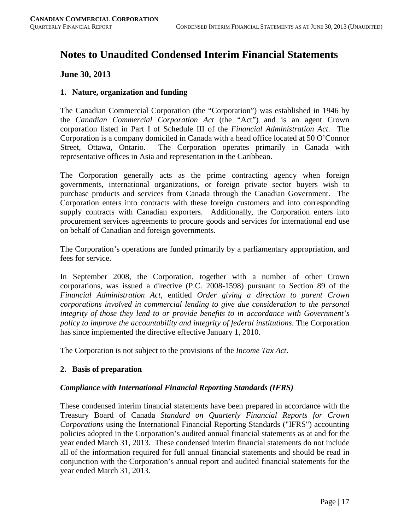# **Notes to Unaudited Condensed Interim Financial Statements**

# **June 30, 2013**

# **1. Nature, organization and funding**

The Canadian Commercial Corporation (the "Corporation") was established in 1946 by the *Canadian Commercial Corporation Act* (the "Act") and is an agent Crown corporation listed in Part I of Schedule III of the *Financial Administration Act*. The Corporation is a company domiciled in Canada with a head office located at 50 O'Connor Street, Ottawa, Ontario. The Corporation operates primarily in Canada with representative offices in Asia and representation in the Caribbean.

The Corporation generally acts as the prime contracting agency when foreign governments, international organizations, or foreign private sector buyers wish to purchase products and services from Canada through the Canadian Government. The Corporation enters into contracts with these foreign customers and into corresponding supply contracts with Canadian exporters. Additionally, the Corporation enters into procurement services agreements to procure goods and services for international end use on behalf of Canadian and foreign governments.

The Corporation's operations are funded primarily by a parliamentary appropriation, and fees for service.

In September 2008, the Corporation, together with a number of other Crown corporations, was issued a directive (P.C. 2008-1598) pursuant to Section 89 of the *Financial Administration Act*, entitled *Order giving a direction to parent Crown corporations involved in commercial lending to give due consideration to the personal integrity of those they lend to or provide benefits to in accordance with Government's policy to improve the accountability and integrity of federal institutions*. The Corporation has since implemented the directive effective January 1, 2010.

The Corporation is not subject to the provisions of the *Income Tax Act*.

# **2. Basis of preparation**

#### *Compliance with International Financial Reporting Standards (IFRS)*

These condensed interim financial statements have been prepared in accordance with the Treasury Board of Canada *Standard on Quarterly Financial Reports for Crown Corporations* using the International Financial Reporting Standards ("IFRS") accounting policies adopted in the Corporation's audited annual financial statements as at and for the year ended March 31, 2013. These condensed interim financial statements do not include all of the information required for full annual financial statements and should be read in conjunction with the Corporation's annual report and audited financial statements for the year ended March 31, 2013.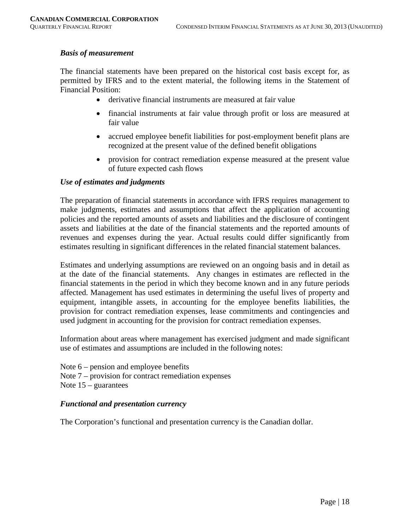#### *Basis of measurement*

The financial statements have been prepared on the historical cost basis except for, as permitted by IFRS and to the extent material, the following items in the Statement of Financial Position:

- derivative financial instruments are measured at fair value
- financial instruments at fair value through profit or loss are measured at fair value
- accrued employee benefit liabilities for post-employment benefit plans are recognized at the present value of the defined benefit obligations
- provision for contract remediation expense measured at the present value of future expected cash flows

#### *Use of estimates and judgments*

The preparation of financial statements in accordance with IFRS requires management to make judgments, estimates and assumptions that affect the application of accounting policies and the reported amounts of assets and liabilities and the disclosure of contingent assets and liabilities at the date of the financial statements and the reported amounts of revenues and expenses during the year. Actual results could differ significantly from estimates resulting in significant differences in the related financial statement balances.

Estimates and underlying assumptions are reviewed on an ongoing basis and in detail as at the date of the financial statements. Any changes in estimates are reflected in the financial statements in the period in which they become known and in any future periods affected. Management has used estimates in determining the useful lives of property and equipment, intangible assets, in accounting for the employee benefits liabilities, the provision for contract remediation expenses, lease commitments and contingencies and used judgment in accounting for the provision for contract remediation expenses.

Information about areas where management has exercised judgment and made significant use of estimates and assumptions are included in the following notes:

Note  $6$  – pension and employee benefits Note 7 – provision for contract remediation expenses Note 15 – guarantees

#### *Functional and presentation currency*

The Corporation's functional and presentation currency is the Canadian dollar.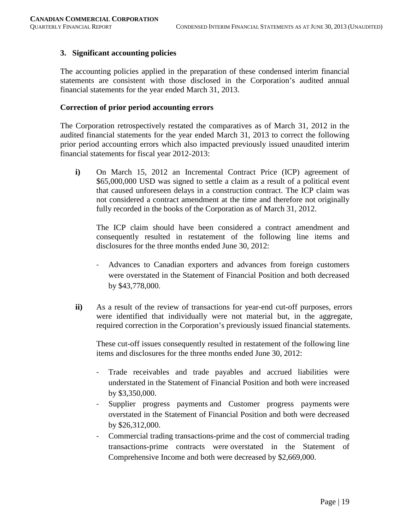#### **3. Significant accounting policies**

The accounting policies applied in the preparation of these condensed interim financial statements are consistent with those disclosed in the Corporation's audited annual financial statements for the year ended March 31, 2013.

#### **Correction of prior period accounting errors**

The Corporation retrospectively restated the comparatives as of March 31, 2012 in the audited financial statements for the year ended March 31, 2013 to correct the following prior period accounting errors which also impacted previously issued unaudited interim financial statements for fiscal year 2012-2013:

**i)** On March 15, 2012 an Incremental Contract Price (ICP) agreement of \$65,000,000 USD was signed to settle a claim as a result of a political event that caused unforeseen delays in a construction contract. The ICP claim was not considered a contract amendment at the time and therefore not originally fully recorded in the books of the Corporation as of March 31, 2012.

The ICP claim should have been considered a contract amendment and consequently resulted in restatement of the following line items and disclosures for the three months ended June 30, 2012:

- Advances to Canadian exporters and advances from foreign customers were overstated in the Statement of Financial Position and both decreased by \$43,778,000.
- **ii)** As a result of the review of transactions for year-end cut-off purposes, errors were identified that individually were not material but, in the aggregate, required correction in the Corporation's previously issued financial statements.

These cut-off issues consequently resulted in restatement of the following line items and disclosures for the three months ended June 30, 2012:

- Trade receivables and trade payables and accrued liabilities were understated in the Statement of Financial Position and both were increased by \$3,350,000.
- Supplier progress payments and Customer progress payments were overstated in the Statement of Financial Position and both were decreased by \$26,312,000.
- Commercial trading transactions-prime and the cost of commercial trading transactions-prime contracts were overstated in the Statement of Comprehensive Income and both were decreased by \$2,669,000.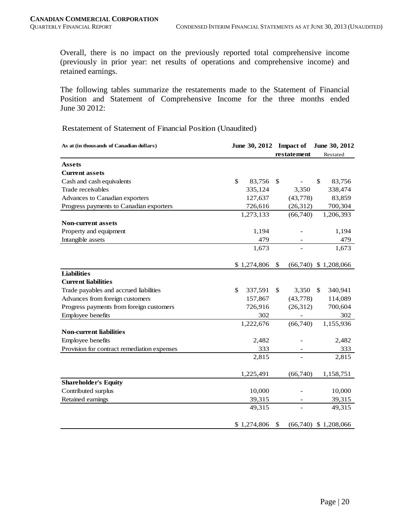Overall, there is no impact on the previously reported total comprehensive income (previously in prior year: net results of operations and comprehensive income) and retained earnings.

The following tables summarize the restatements made to the Statement of Financial Position and Statement of Comprehensive Income for the three months ended June 30 2012:

Restatement of Statement of Financial Position (Unaudited)

| As at (in thousands of Canadian dollars)    |             |           | June 30, 2012 Impact of  | June 30, 2012            |
|---------------------------------------------|-------------|-----------|--------------------------|--------------------------|
|                                             |             |           | restatement              | Restated                 |
| <b>Assets</b>                               |             |           |                          |                          |
| <b>Current assets</b>                       |             |           |                          |                          |
| Cash and cash equivalents                   | \$          | 83,756    | \$                       | \$<br>83,756             |
| Trade receivables                           |             | 335,124   | 3,350                    | 338,474                  |
| Advances to Canadian exporters              |             | 127,637   | (43,778)                 | 83,859                   |
| Progress payments to Canadian exporters     |             | 726,616   | (26, 312)                | 700,304                  |
|                                             |             | 1,273,133 | (66,740)                 | 1,206,393                |
| <b>Non-current assets</b>                   |             |           |                          |                          |
| Property and equipment                      |             | 1,194     |                          | 1,194                    |
| Intangible assets                           |             | 479       |                          | 479                      |
|                                             |             | 1,673     |                          | 1,673                    |
|                                             |             |           |                          |                          |
|                                             | \$1,274,806 |           | \$                       | $(66,740)$ \$ 1,208,066  |
| <b>Liabilities</b>                          |             |           |                          |                          |
| <b>Current liabilities</b>                  |             |           |                          |                          |
| Trade payables and accrued liabilities      | \$          | 337,591   | \$<br>3,350              | 340,941<br><sup>\$</sup> |
| Advances from foreign customers             |             | 157,867   | (43, 778)                | 114,089                  |
| Progress payments from foreign customers    |             | 726,916   | (26, 312)                | 700,604                  |
| Employee benefits                           |             | 302       |                          | 302                      |
|                                             |             | 1,222,676 | (66,740)                 | 1,155,936                |
| <b>Non-current liabilities</b>              |             |           |                          |                          |
| Employee benefits                           |             | 2,482     |                          | 2,482                    |
| Provision for contract remediation expenses |             | 333       |                          | 333                      |
|                                             |             | 2,815     |                          | 2,815                    |
|                                             |             |           |                          |                          |
|                                             | 1,225,491   |           | (66,740)                 | 1,158,751                |
| <b>Shareholder's Equity</b>                 |             |           |                          |                          |
| Contributed surplus                         |             | 10,000    |                          | 10,000                   |
| Retained earnings                           |             | 39,315    | $\overline{\phantom{a}}$ | 39,315                   |
|                                             |             | 49,315    | $\overline{a}$           | 49,315                   |
|                                             | \$1,274,806 |           | \$                       | $(66,740)$ \$ 1,208,066  |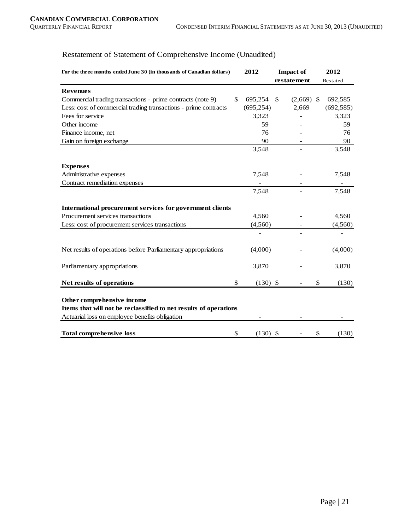# Restatement of Statement of Comprehensive Income (Unaudited)

| For the three months ended June 30 (in thousands of Canadian dollars) |    | 2012       |               | <b>Impact of</b>         |    | 2012       |
|-----------------------------------------------------------------------|----|------------|---------------|--------------------------|----|------------|
|                                                                       |    |            |               | restatement              |    | Restated   |
| <b>Revenues</b>                                                       |    |            |               |                          |    |            |
| Commercial trading transactions - prime contracts (note 9)            | \$ | 695,254    | <sup>\$</sup> | $(2,669)$ \$             |    | 692,585    |
| Less: cost of commercial trading transactions - prime contracts       |    | (695, 254) |               | 2,669                    |    | (692, 585) |
| Fees for service                                                      |    | 3,323      |               |                          |    | 3,323      |
| Other income                                                          |    | 59         |               |                          |    | 59         |
| Finance income, net                                                   |    | 76         |               |                          |    | 76         |
| Gain on foreign exchange                                              |    | 90         |               |                          |    | 90         |
|                                                                       |    | 3,548      |               | $\overline{\phantom{a}}$ |    | 3,548      |
| <b>Expenses</b>                                                       |    |            |               |                          |    |            |
| Administrative expenses                                               |    | 7,548      |               |                          |    | 7,548      |
| Contract remediation expenses                                         |    |            |               |                          |    |            |
|                                                                       |    | 7,548      |               |                          |    | 7,548      |
| International procurement services for government clients             |    |            |               |                          |    |            |
| Procurement services transactions                                     |    | 4,560      |               |                          |    | 4,560      |
| Less: cost of procurement services transactions                       |    | (4, 560)   |               |                          |    | (4, 560)   |
|                                                                       |    |            |               |                          |    |            |
| Net results of operations before Parliamentary appropriations         |    | (4,000)    |               |                          |    | (4,000)    |
| Parliamentary appropriations                                          |    | 3,870      |               |                          |    | 3,870      |
| Net results of operations                                             | \$ | $(130)$ \$ |               |                          | \$ | (130)      |
| Other comprehensive income                                            |    |            |               |                          |    |            |
| Items that will not be reclassified to net results of operations      |    |            |               |                          |    |            |
| Actuarial loss on employee benefits obligation                        |    |            |               |                          |    |            |
| <b>Total comprehensive loss</b>                                       | \$ | $(130)$ \$ |               |                          | \$ | (130)      |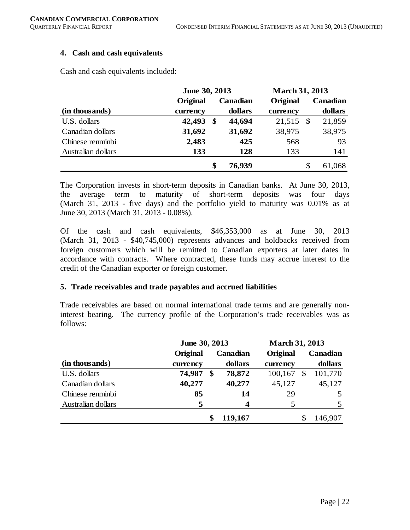#### **4. Cash and cash equivalents**

Cash and cash equivalents included:

|                    | June 30, 2013 |    |          | <b>March 31, 2013</b> |      |          |  |
|--------------------|---------------|----|----------|-----------------------|------|----------|--|
|                    | Original      |    | Canadian | Original              |      | Canadian |  |
| (in thousands)     | currency      |    | dollars  | currency              |      | dollars  |  |
| U.S. dollars       | 42,493        | \$ | 44,694   | 21,515                | - \$ | 21,859   |  |
| Canadian dollars   | 31,692        |    | 31,692   | 38,975                |      | 38,975   |  |
| Chinese renminbi   | 2,483         |    | 425      | 568                   |      | 93       |  |
| Australian dollars | 133           |    | 128      | 133                   |      | 141      |  |
|                    |               | \$ | 76,939   |                       | \$   | 61,068   |  |

The Corporation invests in short-term deposits in Canadian banks. At June 30, 2013, the average term to maturity of short-term deposits was four days (March 31, 2013 - five days) and the portfolio yield to maturity was 0.01% as at June 30, 2013 (March 31, 2013 - 0.08%).

Of the cash and cash equivalents, \$46,353,000 as at June 30, 2013 (March 31, 2013 - \$40,745,000) represents advances and holdbacks received from foreign customers which will be remitted to Canadian exporters at later dates in accordance with contracts. Where contracted, these funds may accrue interest to the credit of the Canadian exporter or foreign customer.

#### **5. Trade receivables and trade payables and accrued liabilities**

Trade receivables are based on normal international trade terms and are generally noninterest bearing. The currency profile of the Corporation's trade receivables was as follows:

|                    | June 30, 2013 |    |          | <b>March 31, 2013</b> |    |          |  |
|--------------------|---------------|----|----------|-----------------------|----|----------|--|
|                    | Original      |    | Canadian | Original              |    | Canadian |  |
| (in thousands)     | currency      |    | dollars  | currency              |    | dollars  |  |
| U.S. dollars       | 74,987        | \$ | 78,872   | 100,167               | \$ | 101,770  |  |
| Canadian dollars   | 40,277        |    | 40,277   | 45,127                |    | 45,127   |  |
| Chinese renminbi   | 85            |    | 14       | 29                    |    |          |  |
| Australian dollars | 5             |    | 4        |                       |    |          |  |
|                    |               |    | 119,167  |                       |    | 146,907  |  |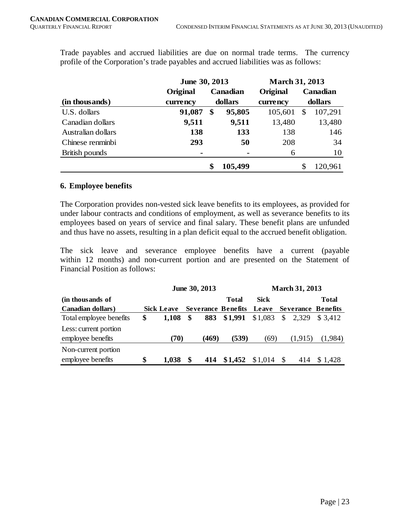|                    | June 30, 2013 |          |         |          | <b>March 31, 2013</b> |          |  |          |
|--------------------|---------------|----------|---------|----------|-----------------------|----------|--|----------|
|                    | Original      | Canadian |         |          |                       | Original |  | Canadian |
| (in thousands)     | currency      |          | dollars | currency | dollars               |          |  |          |
| U.S. dollars       | 91,087        | \$       | 95,805  | 105,601  | \$                    | 107,291  |  |          |
| Canadian dollars   | 9,511         |          | 9,511   | 13,480   |                       | 13,480   |  |          |
| Australian dollars | 138           |          | 133     | 138      |                       | 146      |  |          |
| Chinese renminbi   | 293           |          | 50      | 208      |                       | 34       |  |          |
| British pounds     | ۰             |          |         | 6        |                       | 10       |  |          |
|                    |               | \$       | 105,499 |          |                       | 120,961  |  |          |

Trade payables and accrued liabilities are due on normal trade terms. The currency profile of the Corporation's trade payables and accrued liabilities was as follows:

#### **6. Employee benefits**

The Corporation provides non-vested sick leave benefits to its employees, as provided for under labour contracts and conditions of employment, as well as severance benefits to its employees based on years of service and final salary. These benefit plans are unfunded and thus have no assets, resulting in a plan deficit equal to the accrued benefit obligation.

The sick leave and severance employee benefits have a current (payable within 12 months) and non-current portion and are presented on the Statement of Financial Position as follows:

|                           | June 30, 2013 |                   |    |       |                           |             | <b>March 31, 2013</b> |         |                           |  |  |
|---------------------------|---------------|-------------------|----|-------|---------------------------|-------------|-----------------------|---------|---------------------------|--|--|
| (in thousands of          |               |                   |    |       | Total                     | <b>Sick</b> |                       |         | Total                     |  |  |
| <b>Canadian dollars</b> ) |               | <b>Sick Leave</b> |    |       | <b>Severance Benefits</b> | Leave       |                       |         | <b>Severance Benefits</b> |  |  |
| Total employee benefits   | \$            | 1.108             | \$ | 883   | \$1,991                   | \$1,083     | $\mathcal{S}$         | 2,329   | \$ 3.412                  |  |  |
| Less: current portion     |               |                   |    |       |                           |             |                       |         |                           |  |  |
| employee benefits         |               | (70)              |    | (469) | (539)                     | (69)        |                       | (1,915) | (1,984)                   |  |  |
| Non-current portion       |               |                   |    |       |                           |             |                       |         |                           |  |  |
| employee benefits         | \$            | 1.038             |    | 414   | \$1,452                   | \$1,014     | $\mathcal{S}$         | 414     | \$1.428                   |  |  |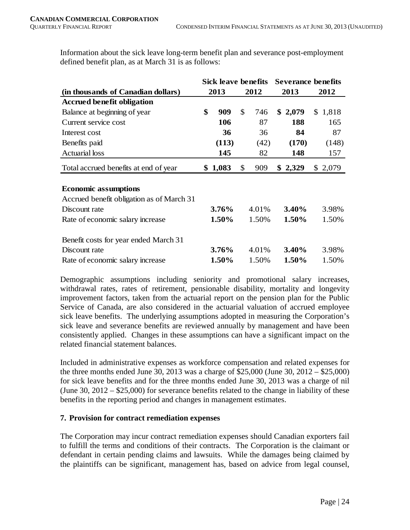Information about the sick leave long-term benefit plan and severance post-employment defined benefit plan, as at March 31 is as follows:

|                                           | Sick leave benefits |         |    |       | <b>Severance benefits</b> |         |    |         |
|-------------------------------------------|---------------------|---------|----|-------|---------------------------|---------|----|---------|
| (in thousands of Canadian dollars)        |                     | 2013    |    | 2012  |                           | 2013    |    | 2012    |
| <b>Accrued benefit obligation</b>         |                     |         |    |       |                           |         |    |         |
| Balance at beginning of year              | \$                  | 909     | \$ | 746   |                           | \$2,079 |    | \$1,818 |
| Current service cost                      |                     | 106     |    | 87    |                           | 188     |    | 165     |
| Interest cost                             |                     | 36      |    | 36    |                           | 84      |    | 87      |
| Benefits paid                             |                     | (113)   |    | (42)  |                           | (170)   |    | (148)   |
| <b>Actuarial</b> loss                     |                     | 145     |    | 82    |                           | 148     |    | 157     |
| Total accrued benefits at end of year     |                     | \$1,083 | \$ | 909   |                           | \$2,329 | \$ | 2,079   |
|                                           |                     |         |    |       |                           |         |    |         |
| <b>Economic assumptions</b>               |                     |         |    |       |                           |         |    |         |
| Accrued benefit obligation as of March 31 |                     |         |    |       |                           |         |    |         |
| Discount rate                             |                     | 3.76%   |    | 4.01% |                           | 3.40%   |    | 3.98%   |
| Rate of economic salary increase          |                     | 1.50%   |    | 1.50% |                           | 1.50%   |    | 1.50%   |
| Benefit costs for year ended March 31     |                     |         |    |       |                           |         |    |         |
| Discount rate                             |                     | 3.76%   |    | 4.01% |                           | 3.40%   |    | 3.98%   |
| Rate of economic salary increase          |                     | 1.50%   |    | 1.50% |                           | 1.50%   |    | 1.50%   |

Demographic assumptions including seniority and promotional salary increases, withdrawal rates, rates of retirement, pensionable disability, mortality and longevity improvement factors, taken from the actuarial report on the pension plan for the Public Service of Canada, are also considered in the actuarial valuation of accrued employee sick leave benefits. The underlying assumptions adopted in measuring the Corporation's sick leave and severance benefits are reviewed annually by management and have been consistently applied. Changes in these assumptions can have a significant impact on the related financial statement balances.

Included in administrative expenses as workforce compensation and related expenses for the three months ended June 30, 2013 was a charge of \$25,000 (June 30, 2012 – \$25,000) for sick leave benefits and for the three months ended June 30, 2013 was a charge of nil (June 30, 2012 – \$25,000) for severance benefits related to the change in liability of these benefits in the reporting period and changes in management estimates.

# **7. Provision for contract remediation expenses**

The Corporation may incur contract remediation expenses should Canadian exporters fail to fulfill the terms and conditions of their contracts. The Corporation is the claimant or defendant in certain pending claims and lawsuits. While the damages being claimed by the plaintiffs can be significant, management has, based on advice from legal counsel,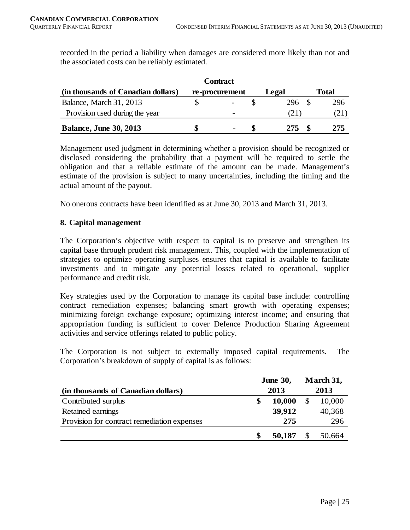recorded in the period a liability when damages are considered more likely than not and the associated costs can be reliably estimated.

|                                    | <b>Contract</b> |        |       |
|------------------------------------|-----------------|--------|-------|
| (in thousands of Canadian dollars) | re-procurement  | Legal  | Total |
| Balance, March 31, 2013            |                 | 296 \$ | 296   |
| Provision used during the year     | -               |        | (21)  |
| <b>Balance, June 30, 2013</b>      | $\blacksquare$  | 275    | 275   |

Management used judgment in determining whether a provision should be recognized or disclosed considering the probability that a payment will be required to settle the obligation and that a reliable estimate of the amount can be made. Management's estimate of the provision is subject to many uncertainties, including the timing and the actual amount of the payout.

No onerous contracts have been identified as at June 30, 2013 and March 31, 2013.

#### **8. Capital management**

The Corporation's objective with respect to capital is to preserve and strengthen its capital base through prudent risk management. This, coupled with the implementation of strategies to optimize operating surpluses ensures that capital is available to facilitate investments and to mitigate any potential losses related to operational, supplier performance and credit risk.

Key strategies used by the Corporation to manage its capital base include: controlling contract remediation expenses; balancing smart growth with operating expenses; minimizing foreign exchange exposure; optimizing interest income; and ensuring that appropriation funding is sufficient to cover Defence Production Sharing Agreement activities and service offerings related to public policy.

The Corporation is not subject to externally imposed capital requirements. The Corporation's breakdown of supply of capital is as follows:

|                                             |   | <b>June 30,</b> | March 31, |        |  |
|---------------------------------------------|---|-----------------|-----------|--------|--|
| (in thousands of Canadian dollars)          |   | 2013            |           | 2013   |  |
| Contributed surplus                         |   | 10,000          |           | 10,000 |  |
| Retained earnings                           |   | 39,912          |           | 40,368 |  |
| Provision for contract remediation expenses |   | 275             |           | 296    |  |
|                                             | S | 50,187          |           | 50,664 |  |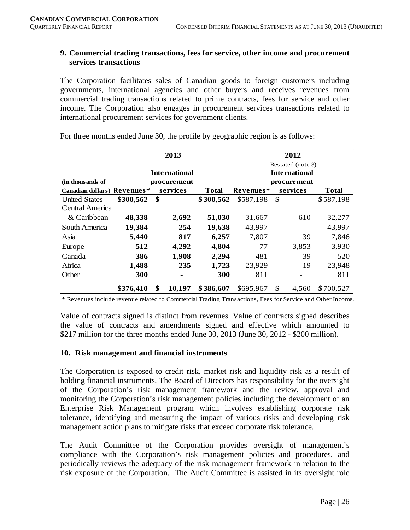#### **9. Commercial trading transactions, fees for service, other income and procurement services transactions**

The Corporation facilitates sales of Canadian goods to foreign customers including governments, international agencies and other buyers and receives revenues from commercial trading transactions related to prime contracts, fees for service and other income. The Corporation also engages in procurement services transactions related to international procurement services for government clients.

|                             | 2013<br>2012 |    |                      |              |           |                          |              |
|-----------------------------|--------------|----|----------------------|--------------|-----------|--------------------------|--------------|
|                             |              |    |                      |              |           | Restated (note 3)        |              |
|                             |              |    | <b>International</b> |              |           | <b>International</b>     |              |
| (in thousands of            |              |    | procurement          |              |           | procurement              |              |
| Canadian dollars) Revenues* |              |    | services             | <b>Total</b> | Revenues* | services                 | <b>Total</b> |
| <b>United States</b>        | \$300,562    | \$ |                      | \$300,562    | \$587,198 | \$                       | \$587,198    |
| Central America             |              |    |                      |              |           |                          |              |
| & Caribbean                 | 48,338       |    | 2,692                | 51,030       | 31,667    | 610                      | 32,277       |
| South America               | 19,384       |    | 254                  | 19,638       | 43,997    | $\overline{\phantom{0}}$ | 43,997       |
| Asia                        | 5,440        |    | 817                  | 6,257        | 7,807     | 39                       | 7,846        |
| Europe                      | 512          |    | 4,292                | 4,804        | 77        | 3,853                    | 3,930        |
| Canada                      | 386          |    | 1,908                | 2,294        | 481       | 39                       | 520          |
| Africa                      | 1,488        |    | 235                  | 1,723        | 23,929    | 19                       | 23,948       |
| Other                       | 300          |    | ۰                    | 300          | 811       | -                        | 811          |
|                             | \$376,410    | \$ | 10,197               | \$386,607    | \$695,967 | \$<br>4,560              | \$700,527    |

For three months ended June 30, the profile by geographic region is as follows:

\* Revenues include revenue related to Commercial Trading Transactions, Fees for Service and Other Income.

Value of contracts signed is distinct from revenues. Value of contracts signed describes the value of contracts and amendments signed and effective which amounted to \$217 million for the three months ended June 30, 2013 (June 30, 2012 - \$200 million).

#### **10. Risk management and financial instruments**

The Corporation is exposed to credit risk, market risk and liquidity risk as a result of holding financial instruments. The Board of Directors has responsibility for the oversight of the Corporation's risk management framework and the review, approval and monitoring the Corporation's risk management policies including the development of an Enterprise Risk Management program which involves establishing corporate risk tolerance, identifying and measuring the impact of various risks and developing risk management action plans to mitigate risks that exceed corporate risk tolerance.

The Audit Committee of the Corporation provides oversight of management's compliance with the Corporation's risk management policies and procedures, and periodically reviews the adequacy of the risk management framework in relation to the risk exposure of the Corporation. The Audit Committee is assisted in its oversight role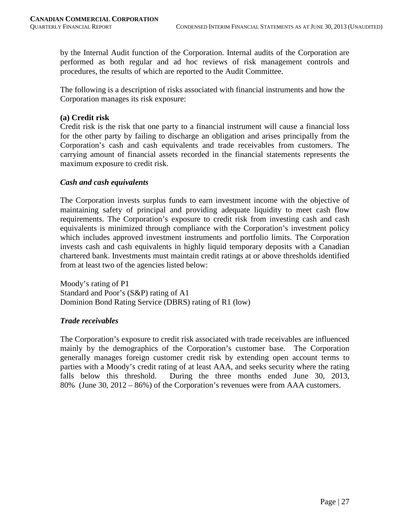by the Internal Audit function of the Corporation. Internal audits of the Corporation are performed as both regular and ad hoc reviews of risk management controls and procedures, the results of which are reported to the Audit Committee.

The following is a description of risks associated with financial instruments and how the Corporation manages its risk exposure:

#### **(a) Credit risk**

Credit risk is the risk that one party to a financial instrument will cause a financial loss for the other party by failing to discharge an obligation and arises principally from the Corporation's cash and cash equivalents and trade receivables from customers. The carrying amount of financial assets recorded in the financial statements represents the maximum exposure to credit risk.

#### *Cash and cash equivalents*

The Corporation invests surplus funds to earn investment income with the objective of maintaining safety of principal and providing adequate liquidity to meet cash flow requirements. The Corporation's exposure to credit risk from investing cash and cash equivalents is minimized through compliance with the Corporation's investment policy which includes approved investment instruments and portfolio limits. The Corporation invests cash and cash equivalents in highly liquid temporary deposits with a Canadian chartered bank. Investments must maintain credit ratings at or above thresholds identified from at least two of the agencies listed below:

Moody's rating of P1 Standard and Poor's (S&P) rating of A1 Dominion Bond Rating Service (DBRS) rating of R1 (low)

#### *Trade receivables*

The Corporation's exposure to credit risk associated with trade receivables are influenced mainly by the demographics of the Corporation's customer base. The Corporation generally manages foreign customer credit risk by extending open account terms to parties with a Moody's credit rating of at least AAA, and seeks security where the rating falls below this threshold. During the three months ended June 30, 2013, 80% (June 30, 2012 – 86%) of the Corporation's revenues were from AAA customers.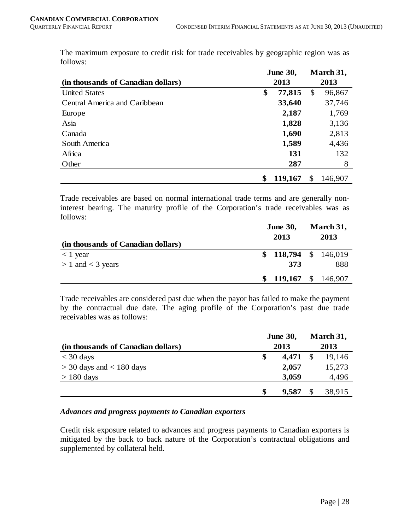|                                    | <b>June 30,</b> | March 31, |         |  |
|------------------------------------|-----------------|-----------|---------|--|
| (in thousands of Canadian dollars) | 2013            | 2013      |         |  |
| <b>United States</b>               | \$<br>77,815    | \$        | 96,867  |  |
| Central America and Caribbean      | 33,640          |           | 37,746  |  |
| Europe                             | 2,187           |           | 1,769   |  |
| Asia                               | 1,828           |           | 3,136   |  |
| Canada                             | 1,690           |           | 2,813   |  |
| South America                      | 1,589           |           | 4,436   |  |
| Africa                             | 131             |           | 132     |  |
| Other                              | 287             |           | 8       |  |
|                                    | \$<br>119,167   | \$        | 146,907 |  |

The maximum exposure to credit risk for trade receivables by geographic region was as follows:

Trade receivables are based on normal international trade terms and are generally noninterest bearing. The maturity profile of the Corporation's trade receivables was as follows:

| (in thousands of Canadian dollars) |  | <b>June 30,</b><br>2013 | March 31,<br>2013 |     |  |
|------------------------------------|--|-------------------------|-------------------|-----|--|
| $< 1$ year                         |  | $$118,794 \$146,019$    |                   |     |  |
| $> 1$ and $<$ 3 years              |  | 373                     |                   | 888 |  |
|                                    |  | 119,167 $$146,907$      |                   |     |  |

Trade receivables are considered past due when the payor has failed to make the payment by the contractual due date. The aging profile of the Corporation's past due trade receivables was as follows:

|                                    | <b>June 30,</b> |            | March 31, |        |
|------------------------------------|-----------------|------------|-----------|--------|
| (in thousands of Canadian dollars) |                 | 2013       |           |        |
| $<$ 30 days                        | \$              | $4,471$ \$ |           | 19.146 |
| $>$ 30 days and $<$ 180 days       |                 | 2,057      |           | 15,273 |
| $> 180$ days                       |                 | 3,059      |           | 4,496  |
|                                    | \$              | 9,587      |           | 38,915 |

# *Advances and progress payments to Canadian exporters*

Credit risk exposure related to advances and progress payments to Canadian exporters is mitigated by the back to back nature of the Corporation's contractual obligations and supplemented by collateral held.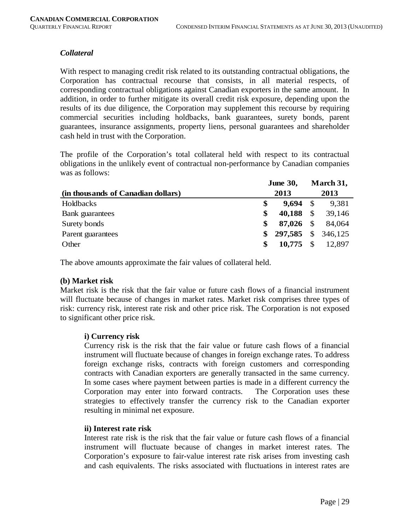## *Collateral*

With respect to managing credit risk related to its outstanding contractual obligations, the Corporation has contractual recourse that consists, in all material respects, of corresponding contractual obligations against Canadian exporters in the same amount. In addition, in order to further mitigate its overall credit risk exposure, depending upon the results of its due diligence, the Corporation may supplement this recourse by requiring commercial securities including holdbacks, bank guarantees, surety bonds, parent guarantees, insurance assignments, property liens, personal guarantees and shareholder cash held in trust with the Corporation.

The profile of the Corporation's total collateral held with respect to its contractual obligations in the unlikely event of contractual non-performance by Canadian companies was as follows:

|                                    | <b>June 30,</b> |            |               | March 31, |
|------------------------------------|-----------------|------------|---------------|-----------|
| (in thousands of Canadian dollars) |                 | 2013       |               | 2013      |
| Holdbacks                          | \$              | 9,694      | - \$          | 9,381     |
| Bank guarantees                    | \$              | 40,188     | $\mathcal{S}$ | 39,146    |
| Surety bonds                       | S               | 87,026     | - S           | 84,064    |
| Parent guarantees                  | S               | 297,585 \$ |               | 346,125   |
| Other                              | S               | 10,775     | - \$          | 12,897    |

The above amounts approximate the fair values of collateral held.

#### **(b) Market risk**

Market risk is the risk that the fair value or future cash flows of a financial instrument will fluctuate because of changes in market rates. Market risk comprises three types of risk: currency risk, interest rate risk and other price risk. The Corporation is not exposed to significant other price risk.

#### **i) Currency risk**

Currency risk is the risk that the fair value or future cash flows of a financial instrument will fluctuate because of changes in foreign exchange rates. To address foreign exchange risks, contracts with foreign customers and corresponding contracts with Canadian exporters are generally transacted in the same currency. In some cases where payment between parties is made in a different currency the Corporation may enter into forward contracts. The Corporation uses these strategies to effectively transfer the currency risk to the Canadian exporter resulting in minimal net exposure.

#### **ii) Interest rate risk**

Interest rate risk is the risk that the fair value or future cash flows of a financial instrument will fluctuate because of changes in market interest rates. The Corporation's exposure to fair-value interest rate risk arises from investing cash and cash equivalents. The risks associated with fluctuations in interest rates are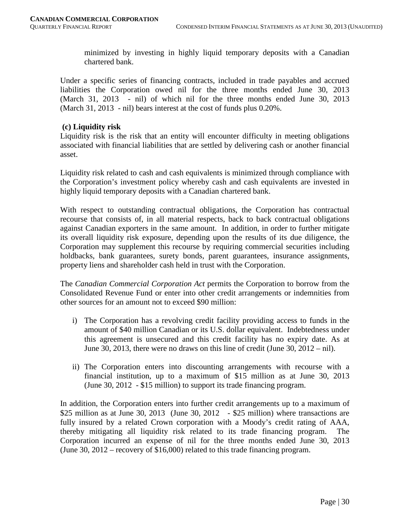minimized by investing in highly liquid temporary deposits with a Canadian chartered bank.

Under a specific series of financing contracts, included in trade payables and accrued liabilities the Corporation owed nil for the three months ended June 30, 2013 (March 31, 2013 - nil) of which nil for the three months ended June 30, 2013 (March 31, 2013 - nil) bears interest at the cost of funds plus 0.20%.

#### **(c) Liquidity risk**

Liquidity risk is the risk that an entity will encounter difficulty in meeting obligations associated with financial liabilities that are settled by delivering cash or another financial asset.

Liquidity risk related to cash and cash equivalents is minimized through compliance with the Corporation's investment policy whereby cash and cash equivalents are invested in highly liquid temporary deposits with a Canadian chartered bank.

With respect to outstanding contractual obligations, the Corporation has contractual recourse that consists of, in all material respects, back to back contractual obligations against Canadian exporters in the same amount. In addition, in order to further mitigate its overall liquidity risk exposure, depending upon the results of its due diligence, the Corporation may supplement this recourse by requiring commercial securities including holdbacks, bank guarantees, surety bonds, parent guarantees, insurance assignments, property liens and shareholder cash held in trust with the Corporation.

The *Canadian Commercial Corporation Act* permits the Corporation to borrow from the Consolidated Revenue Fund or enter into other credit arrangements or indemnities from other sources for an amount not to exceed \$90 million:

- i) The Corporation has a revolving credit facility providing access to funds in the amount of \$40 million Canadian or its U.S. dollar equivalent. Indebtedness under this agreement is unsecured and this credit facility has no expiry date. As at June 30, 2013, there were no draws on this line of credit (June 30,  $2012 - \text{nil}$ ).
- ii) The Corporation enters into discounting arrangements with recourse with a financial institution, up to a maximum of \$15 million as at June 30, 2013 (June 30, 2012 - \$15 million) to support its trade financing program.

In addition, the Corporation enters into further credit arrangements up to a maximum of \$25 million as at June 30, 2013 (June 30, 2012 - \$25 million) where transactions are fully insured by a related Crown corporation with a Moody's credit rating of AAA, thereby mitigating all liquidity risk related to its trade financing program. The Corporation incurred an expense of nil for the three months ended June 30, 2013 (June 30, 2012 – recovery of \$16,000) related to this trade financing program.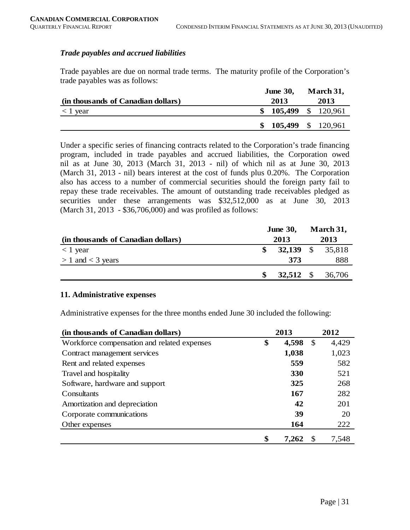#### *Trade payables and accrued liabilities*

Trade payables are due on normal trade terms. The maturity profile of the Corporation's trade payables was as follows:

|                                    | <b>June 30,</b> | March 31,          |
|------------------------------------|-----------------|--------------------|
| (in thousands of Canadian dollars) | 2013            | 2013               |
| $<$ 1 year                         |                 | 105,499 \$ 120,961 |
|                                    | SS.             | 105,499 \$ 120,961 |

Under a specific series of financing contracts related to the Corporation's trade financing program, included in trade payables and accrued liabilities, the Corporation owed nil as at June 30, 2013 (March 31, 2013 - nil) of which nil as at June 30, 2013 (March 31, 2013 - nil) bears interest at the cost of funds plus 0.20%. The Corporation also has access to a number of commercial securities should the foreign party fail to repay these trade receivables. The amount of outstanding trade receivables pledged as securities under these arrangements was \$32,512,000 as at June 30, 2013 (March 31, 2013 - \$36,706,000) and was profiled as follows:

|                                    | <b>June 30,</b> |      |  | March 31,        |
|------------------------------------|-----------------|------|--|------------------|
| (in thousands of Canadian dollars) |                 | 2013 |  | 2013             |
| $<$ 1 year                         |                 |      |  | 32,139 \$ 35,818 |
| $> 1$ and $<$ 3 years              |                 | 373  |  | 888              |
|                                    |                 |      |  | 32,512 \$ 36,706 |

#### **11. Administrative expenses**

Administrative expenses for the three months ended June 30 included the following:

| (in thousands of Canadian dollars)          | 2013        |               | 2012  |
|---------------------------------------------|-------------|---------------|-------|
| Workforce compensation and related expenses | \$<br>4,598 | $\mathcal{S}$ | 4,429 |
| Contract management services                | 1,038       |               | 1,023 |
| Rent and related expenses                   | 559         |               | 582   |
| Travel and hospitality                      | 330         |               | 521   |
| Software, hardware and support              | 325         |               | 268   |
| Consultants                                 | 167         |               | 282   |
| Amortization and depreciation               | 42          |               | 201   |
| Corporate communications                    | 39          |               | 20    |
| Other expenses                              | 164         |               | 222   |
|                                             | \$<br>7,262 | S             | 7,548 |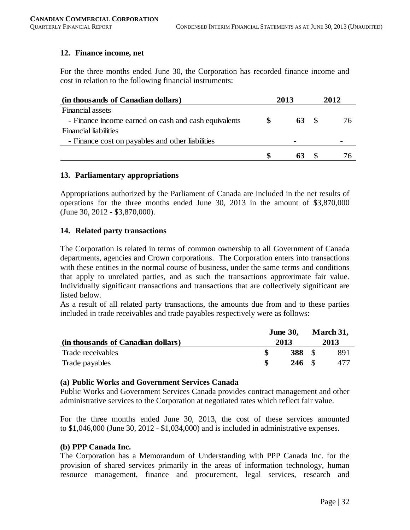#### **12. Finance income, net**

For the three months ended June 30, the Corporation has recorded finance income and cost in relation to the following financial instruments:

| (in thousands of Canadian dollars)                   | 2013 | 2012 |
|------------------------------------------------------|------|------|
| <b>Financial assets</b>                              |      |      |
| - Finance income earned on cash and cash equivalents | 63   | 76   |
| <b>Financial liabilities</b>                         |      |      |
| - Finance cost on payables and other liabilities     |      |      |
|                                                      |      |      |

#### **13. Parliamentary appropriations**

Appropriations authorized by the Parliament of Canada are included in the net results of operations for the three months ended June 30, 2013 in the amount of \$3,870,000 (June 30, 2012 - \$3,870,000).

#### **14. Related party transactions**

The Corporation is related in terms of common ownership to all Government of Canada departments, agencies and Crown corporations. The Corporation enters into transactions with these entities in the normal course of business, under the same terms and conditions that apply to unrelated parties, and as such the transactions approximate fair value. Individually significant transactions and transactions that are collectively significant are listed below.

As a result of all related party transactions, the amounts due from and to these parties included in trade receivables and trade payables respectively were as follows:

|                                    | <b>June 30,</b><br>2013 |                 | March 31,<br>2013 |     |
|------------------------------------|-------------------------|-----------------|-------------------|-----|
| (in thousands of Canadian dollars) |                         |                 |                   |     |
| Trade receivables                  |                         | <b>388</b> \$   |                   | 891 |
| Trade payables                     |                         | $246 \text{ s}$ |                   | 477 |

#### **(a) Public Works and Government Services Canada**

Public Works and Government Services Canada provides contract management and other administrative services to the Corporation at negotiated rates which reflect fair value.

For the three months ended June 30, 2013, the cost of these services amounted to \$1,046,000 (June 30, 2012 - \$1,034,000) and is included in administrative expenses.

#### **(b) PPP Canada Inc.**

The Corporation has a Memorandum of Understanding with PPP Canada Inc. for the provision of shared services primarily in the areas of information technology, human resource management, finance and procurement, legal services, research and